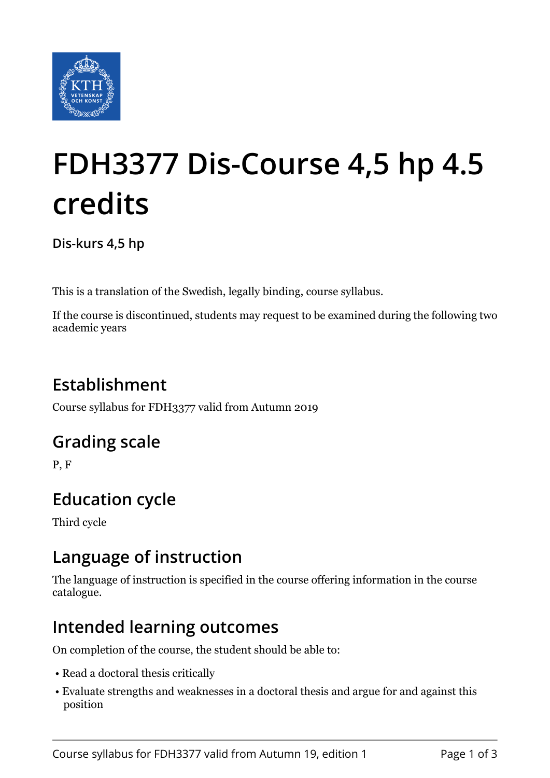

# **FDH3377 Dis-Course 4,5 hp 4.5 credits**

**Dis-kurs 4,5 hp**

This is a translation of the Swedish, legally binding, course syllabus.

If the course is discontinued, students may request to be examined during the following two academic years

# **Establishment**

Course syllabus for FDH3377 valid from Autumn 2019

## **Grading scale**

P, F

# **Education cycle**

Third cycle

## **Language of instruction**

The language of instruction is specified in the course offering information in the course catalogue.

## **Intended learning outcomes**

On completion of the course, the student should be able to:

- Read a doctoral thesis critically
- Evaluate strengths and weaknesses in a doctoral thesis and argue for and against this position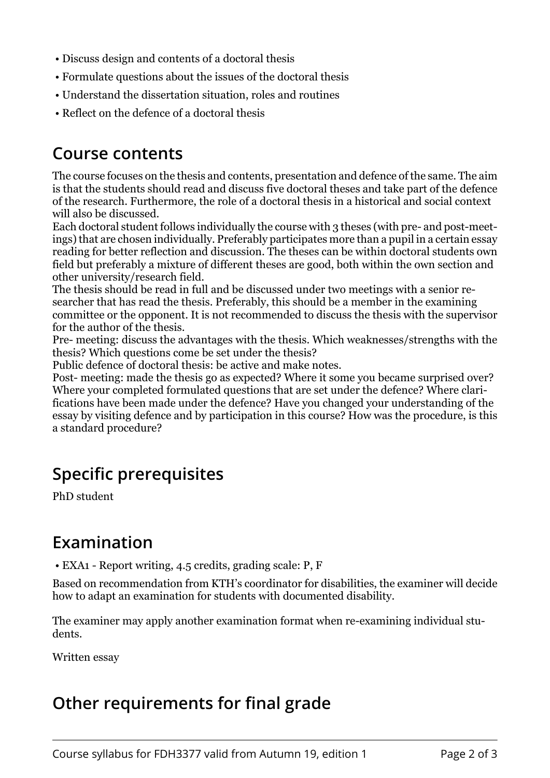- Discuss design and contents of a doctoral thesis
- Formulate questions about the issues of the doctoral thesis
- Understand the dissertation situation, roles and routines
- Reflect on the defence of a doctoral thesis

#### **Course contents**

The course focuses on the thesis and contents, presentation and defence of the same. The aim is that the students should read and discuss five doctoral theses and take part of the defence of the research. Furthermore, the role of a doctoral thesis in a historical and social context will also be discussed.

Each doctoral student follows individually the course with 3 theses (with pre- and post-meetings) that are chosen individually. Preferably participates more than a pupil in a certain essay reading for better reflection and discussion. The theses can be within doctoral students own field but preferably a mixture of different theses are good, both within the own section and other university/research field.

The thesis should be read in full and be discussed under two meetings with a senior researcher that has read the thesis. Preferably, this should be a member in the examining committee or the opponent. It is not recommended to discuss the thesis with the supervisor for the author of the thesis.

Pre- meeting: discuss the advantages with the thesis. Which weaknesses/strengths with the thesis? Which questions come be set under the thesis?

Public defence of doctoral thesis: be active and make notes.

Post- meeting: made the thesis go as expected? Where it some you became surprised over? Where your completed formulated questions that are set under the defence? Where clarifications have been made under the defence? Have you changed your understanding of the essay by visiting defence and by participation in this course? How was the procedure, is this a standard procedure?

## **Specific prerequisites**

PhD student

#### **Examination**

• EXA1 - Report writing, 4.5 credits, grading scale: P, F

Based on recommendation from KTH's coordinator for disabilities, the examiner will decide how to adapt an examination for students with documented disability.

The examiner may apply another examination format when re-examining individual students.

Written essay

## **Other requirements for final grade**